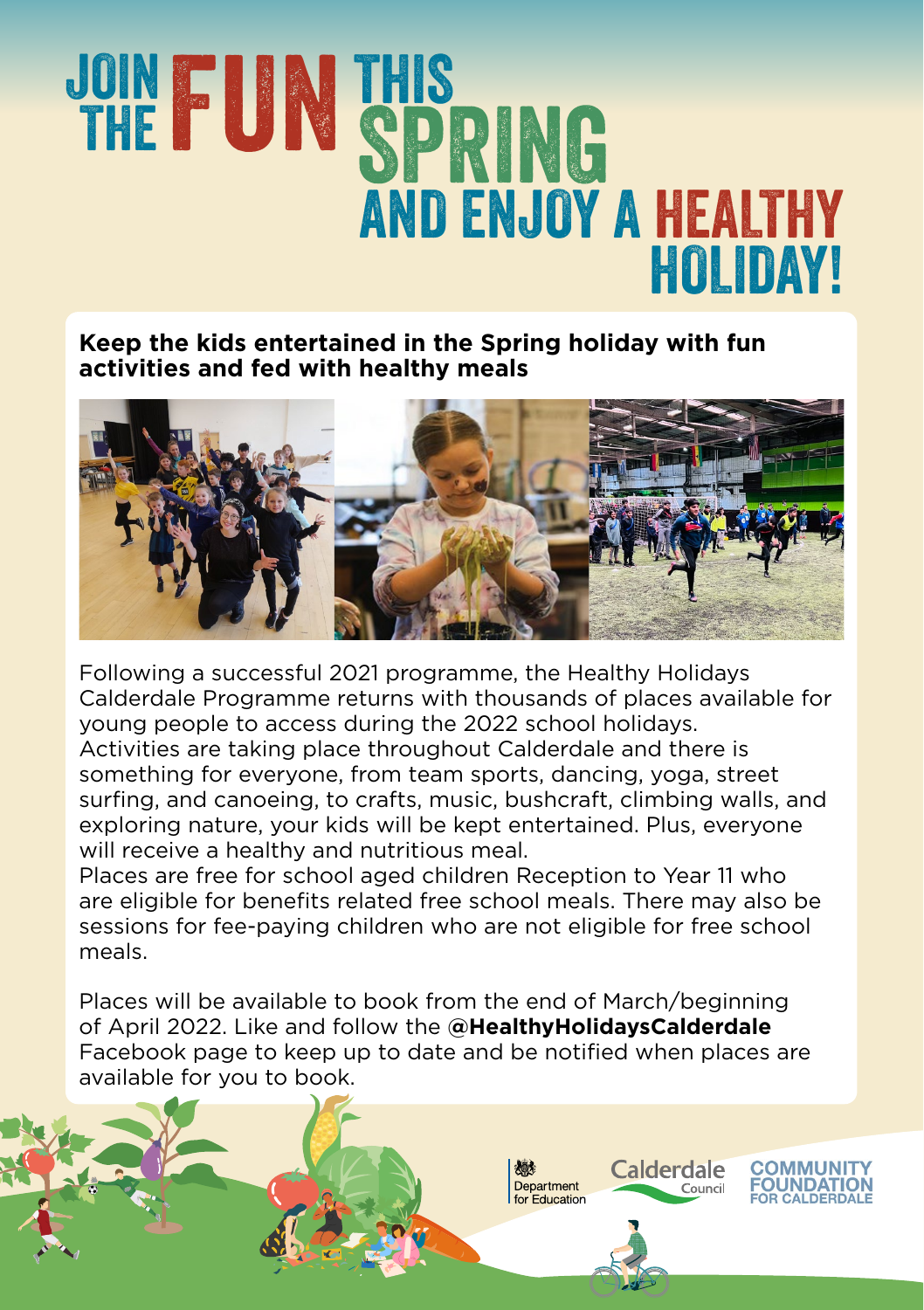## **JOIN FUNTHIS SPRING** AND ENJOY A HEALTHY HOLIDAY!

**Keep the kids entertained in the Spring holiday with fun activities and fed with healthy meals** 



Following a successful 2021 programme, the Healthy Holidays Calderdale Programme returns with thousands of places available for young people to access during the 2022 school holidays. Activities are taking place throughout Calderdale and there is something for everyone, from team sports, dancing, yoga, street surfing, and canoeing, to crafts, music, bushcraft, climbing walls, and exploring nature, your kids will be kept entertained. Plus, everyone will receive a healthy and nutritious meal.

Places are free for school aged children Reception to Year 11 who are eligible for benefits related free school meals. There may also be sessions for fee-paying children who are not eligible for free school meals.

Places will be available to book from the end of March/beginning of April 2022. Like and follow the **@HealthyHolidaysCalderdale** Facebook page to keep up to date and be notified when places are available for you to book.

燃

Department

for Education

Calderdale

Council

**COMMUNITY** 

**FOUNDATION** 

OR CALDERDALE